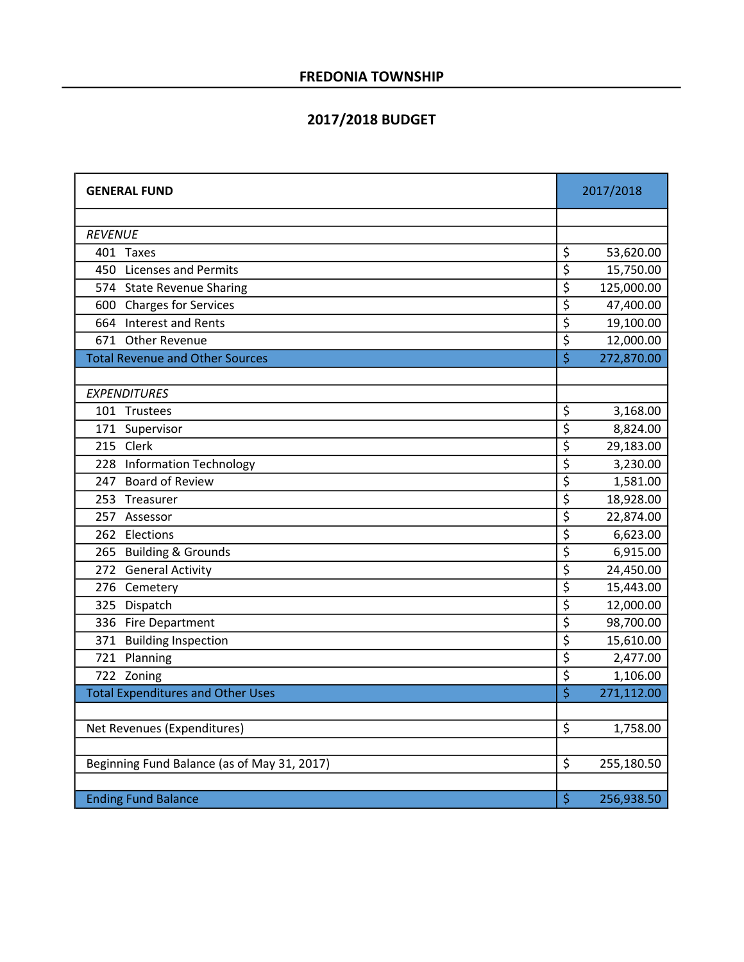#### 2017/2018 BUDGET

| <b>GENERAL FUND</b>                         |                                     | 2017/2018  |
|---------------------------------------------|-------------------------------------|------------|
|                                             |                                     |            |
| <b>REVENUE</b>                              |                                     |            |
| 401 Taxes                                   | \$                                  | 53,620.00  |
| 450 Licenses and Permits                    | \$                                  | 15,750.00  |
| 574 State Revenue Sharing                   | \$                                  | 125,000.00 |
| 600 Charges for Services                    | $\overline{\boldsymbol{\varsigma}}$ | 47,400.00  |
| 664 Interest and Rents                      | \$                                  | 19,100.00  |
| 671 Other Revenue                           | $\overline{\xi}$                    | 12,000.00  |
| <b>Total Revenue and Other Sources</b>      | $\overline{\xi}$                    | 272,870.00 |
|                                             |                                     |            |
| <b>EXPENDITURES</b>                         |                                     |            |
| 101 Trustees                                | \$                                  | 3,168.00   |
| 171 Supervisor                              | \$                                  | 8,824.00   |
| 215 Clerk                                   | $\overline{\boldsymbol{\varsigma}}$ | 29,183.00  |
| 228 Information Technology                  | \$                                  | 3,230.00   |
| 247 Board of Review                         | \$                                  | 1,581.00   |
| 253 Treasurer                               | \$                                  | 18,928.00  |
| 257 Assessor                                | \$                                  | 22,874.00  |
| 262 Elections                               | \$                                  | 6,623.00   |
| 265 Building & Grounds                      | $\overline{\boldsymbol{\zeta}}$     | 6,915.00   |
| 272 General Activity                        | \$                                  | 24,450.00  |
| 276 Cemetery                                | $\overline{\boldsymbol{\varsigma}}$ | 15,443.00  |
| 325 Dispatch                                | \$                                  | 12,000.00  |
| 336 Fire Department                         | \$                                  | 98,700.00  |
| 371 Building Inspection                     | \$                                  | 15,610.00  |
| 721 Planning                                | \$                                  | 2,477.00   |
| 722 Zoning                                  | \$                                  | 1,106.00   |
| <b>Total Expenditures and Other Uses</b>    | \$                                  | 271,112.00 |
|                                             |                                     |            |
| Net Revenues (Expenditures)                 | $\zeta$                             | 1,758.00   |
|                                             |                                     |            |
| Beginning Fund Balance (as of May 31, 2017) | $\zeta$                             | 255,180.50 |
|                                             |                                     |            |
| <b>Ending Fund Balance</b>                  | \$                                  | 256,938.50 |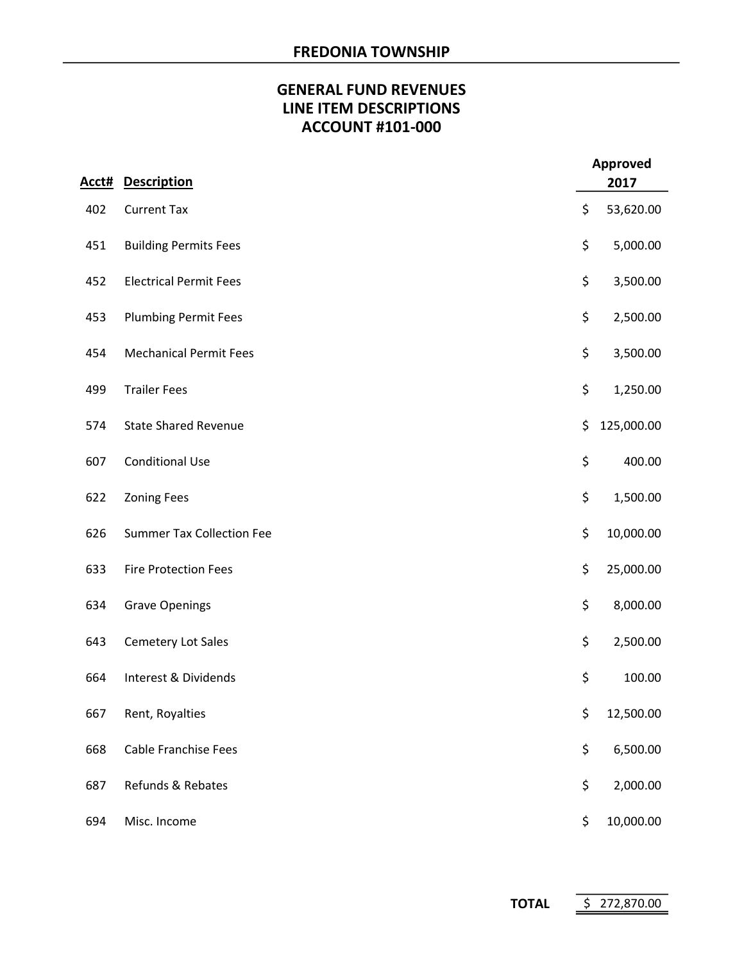# GENERAL FUND REVENUES LINE ITEM DESCRIPTIONS ACCOUNT #101-000

| Acct# | <b>Description</b>               | <b>Approved</b><br>2017 |            |
|-------|----------------------------------|-------------------------|------------|
| 402   | <b>Current Tax</b>               | \$                      | 53,620.00  |
| 451   | <b>Building Permits Fees</b>     | \$                      | 5,000.00   |
| 452   | <b>Electrical Permit Fees</b>    | \$                      | 3,500.00   |
| 453   | <b>Plumbing Permit Fees</b>      | \$                      | 2,500.00   |
| 454   | <b>Mechanical Permit Fees</b>    | \$                      | 3,500.00   |
| 499   | <b>Trailer Fees</b>              | \$                      | 1,250.00   |
| 574   | <b>State Shared Revenue</b>      | \$                      | 125,000.00 |
| 607   | <b>Conditional Use</b>           | \$                      | 400.00     |
| 622   | <b>Zoning Fees</b>               | \$                      | 1,500.00   |
| 626   | <b>Summer Tax Collection Fee</b> | \$                      | 10,000.00  |
| 633   | <b>Fire Protection Fees</b>      | \$                      | 25,000.00  |
| 634   | <b>Grave Openings</b>            | \$                      | 8,000.00   |
| 643   | <b>Cemetery Lot Sales</b>        | \$                      | 2,500.00   |
| 664   | Interest & Dividends             | \$                      | 100.00     |
| 667   | Rent, Royalties                  | \$                      | 12,500.00  |
| 668   | <b>Cable Franchise Fees</b>      | \$                      | 6,500.00   |
| 687   | Refunds & Rebates                | \$                      | 2,000.00   |
| 694   | Misc. Income                     | \$                      | 10,000.00  |

TOTAL \$ 272,870.00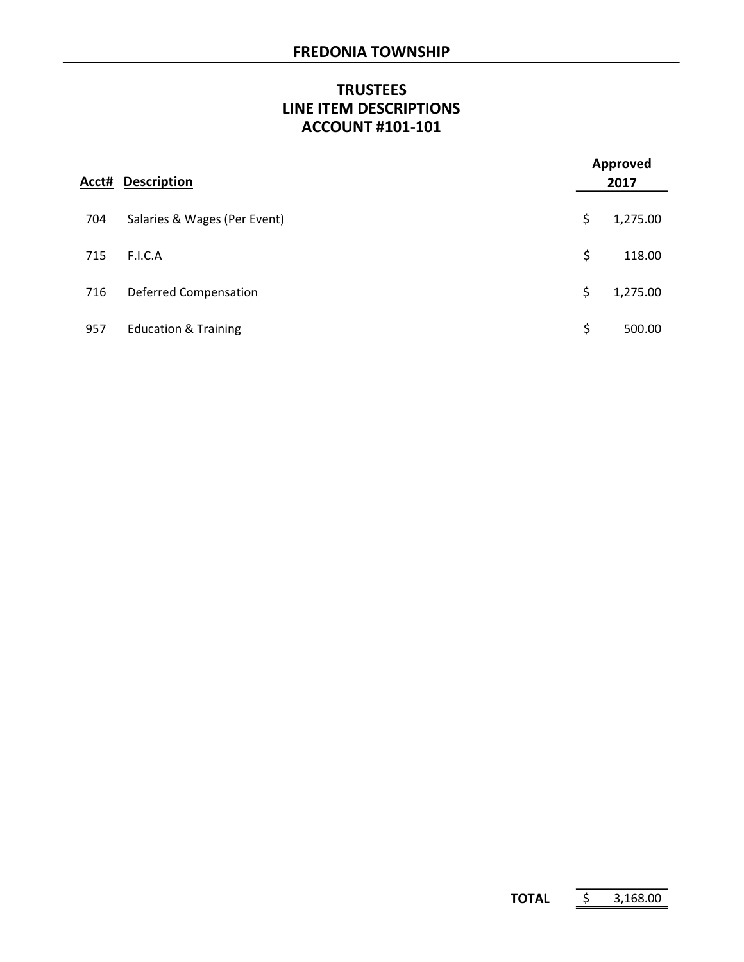# **TRUSTEES** LINE ITEM DESCRIPTIONS ACCOUNT #101-101

| Acct# | <b>Description</b>              | <b>Approved</b><br>2017 |          |  |
|-------|---------------------------------|-------------------------|----------|--|
| 704   | Salaries & Wages (Per Event)    | \$                      | 1,275.00 |  |
| 715   | F.I.C.A                         | \$                      | 118.00   |  |
| 716   | <b>Deferred Compensation</b>    | \$                      | 1,275.00 |  |
| 957   | <b>Education &amp; Training</b> | \$                      | 500.00   |  |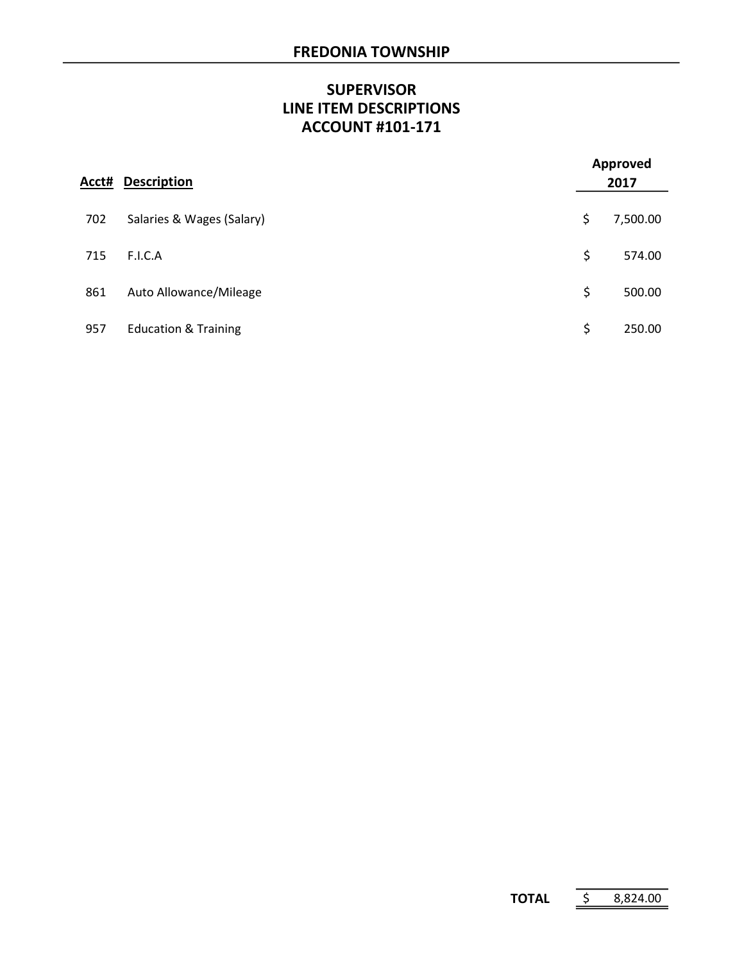# **SUPERVISOR** LINE ITEM DESCRIPTIONS ACCOUNT #101-171

| Acct# | <b>Description</b>              | <b>Approved</b><br>2017 |          |  |
|-------|---------------------------------|-------------------------|----------|--|
| 702   | Salaries & Wages (Salary)       | \$                      | 7,500.00 |  |
| 715   | F.I.C.A                         | \$                      | 574.00   |  |
| 861   | Auto Allowance/Mileage          | \$                      | 500.00   |  |
| 957   | <b>Education &amp; Training</b> | \$                      | 250.00   |  |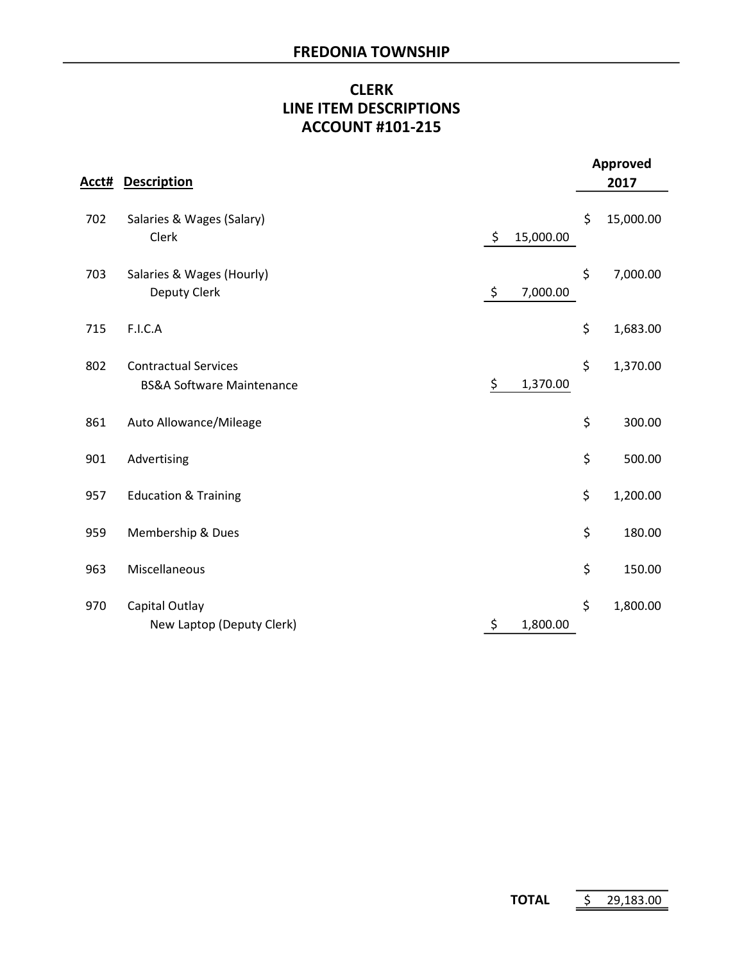# CLERK LINE ITEM DESCRIPTIONS ACCOUNT #101-215

|       |                                                                     |                 | <b>Approved</b> |
|-------|---------------------------------------------------------------------|-----------------|-----------------|
| Acct# | <b>Description</b>                                                  |                 | 2017            |
| 702   | Salaries & Wages (Salary)<br>Clerk                                  | \$<br>15,000.00 | \$<br>15,000.00 |
| 703   | Salaries & Wages (Hourly)<br>Deputy Clerk                           | \$<br>7,000.00  | \$<br>7,000.00  |
| 715   | F.I.C.A                                                             |                 | \$<br>1,683.00  |
| 802   | <b>Contractual Services</b><br><b>BS&amp;A Software Maintenance</b> | \$<br>1,370.00  | \$<br>1,370.00  |
| 861   | Auto Allowance/Mileage                                              |                 | \$<br>300.00    |
| 901   | Advertising                                                         |                 | \$<br>500.00    |
| 957   | <b>Education &amp; Training</b>                                     |                 | \$<br>1,200.00  |
| 959   | Membership & Dues                                                   |                 | \$<br>180.00    |
| 963   | Miscellaneous                                                       |                 | \$<br>150.00    |
| 970   | Capital Outlay<br>New Laptop (Deputy Clerk)                         | \$<br>1,800.00  | \$<br>1,800.00  |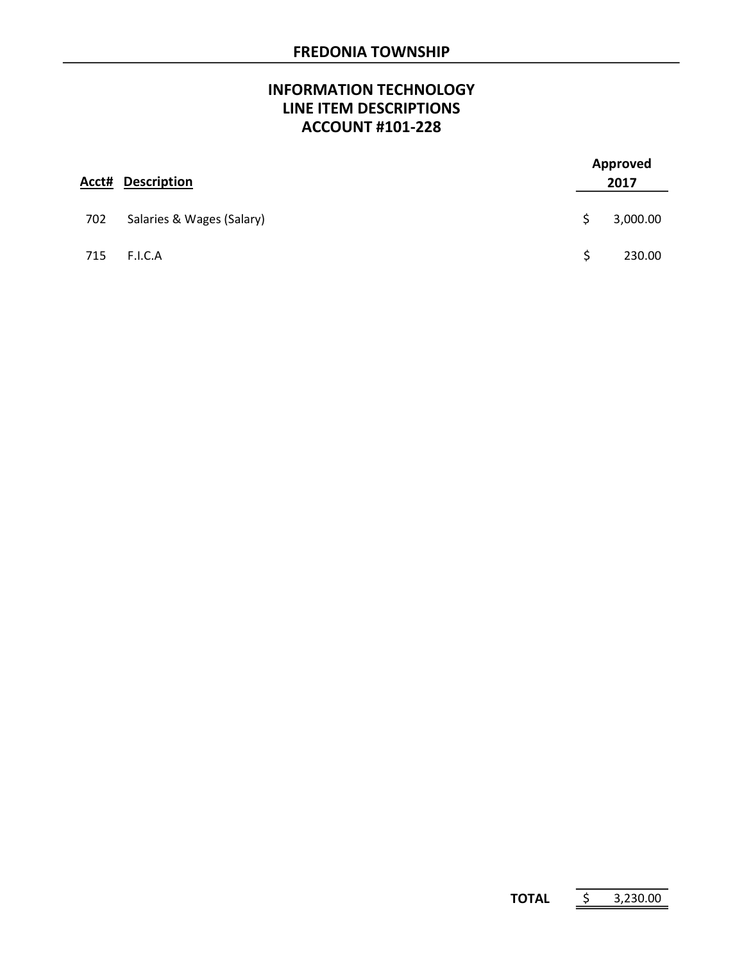# INFORMATION TECHNOLOGY LINE ITEM DESCRIPTIONS ACCOUNT #101-228

| Acct# | <b>Description</b>        | <b>Approved</b><br>2017 |          |  |
|-------|---------------------------|-------------------------|----------|--|
| 702   | Salaries & Wages (Salary) | S                       | 3,000.00 |  |
| 715   | F.I.C.A                   | Ŝ                       | 230.00   |  |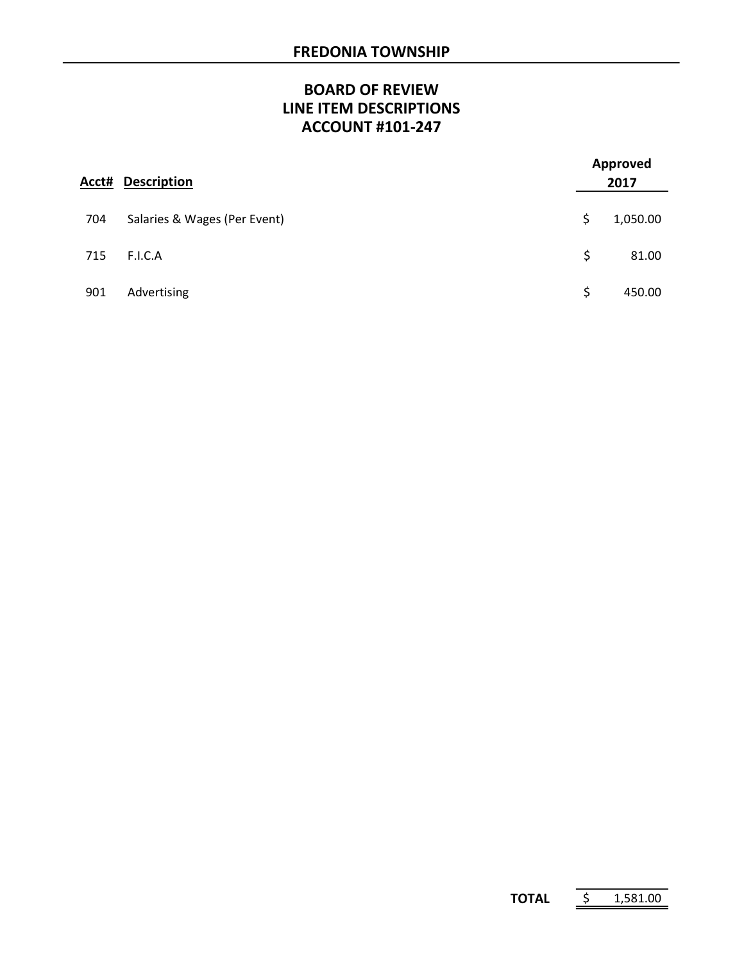# BOARD OF REVIEW LINE ITEM DESCRIPTIONS ACCOUNT #101-247

| Acct# | <b>Description</b>           | <b>Approved</b><br>2017 |
|-------|------------------------------|-------------------------|
| 704   | Salaries & Wages (Per Event) | \$<br>1,050.00          |
| 715   | F.I.C.A                      | \$<br>81.00             |
| 901   | Advertising                  | \$<br>450.00            |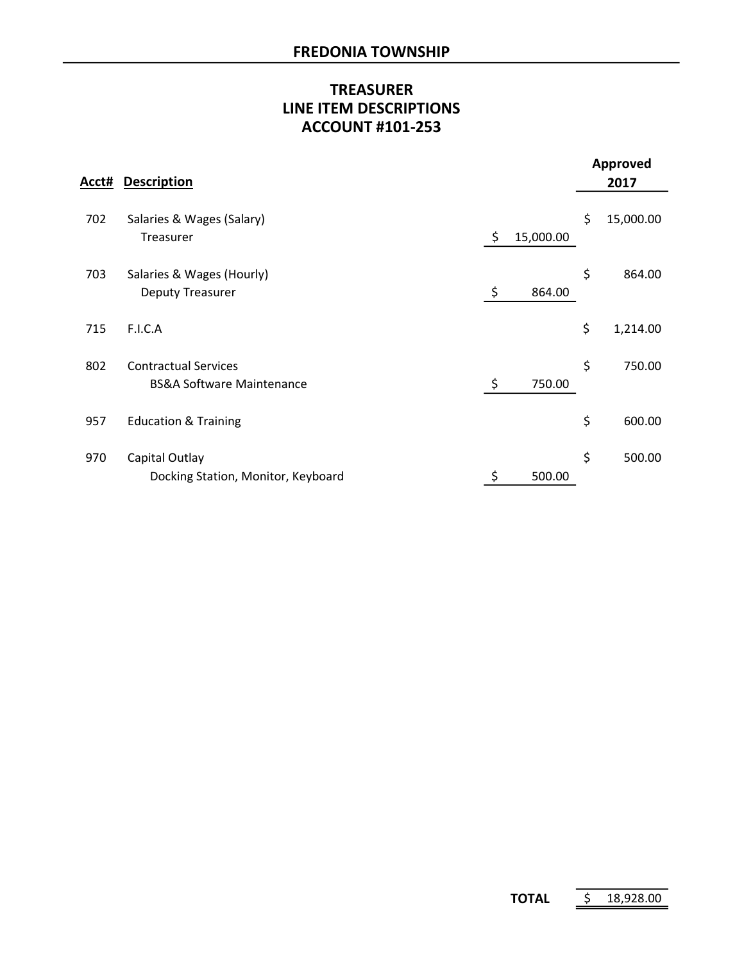# TREASURER LINE ITEM DESCRIPTIONS ACCOUNT #101-253

| Acct# | <b>Description</b>                                                  |                 | <b>Approved</b><br>2017 |
|-------|---------------------------------------------------------------------|-----------------|-------------------------|
| 702   | Salaries & Wages (Salary)<br>Treasurer                              | \$<br>15,000.00 | \$<br>15,000.00         |
| 703   | Salaries & Wages (Hourly)<br><b>Deputy Treasurer</b>                | \$<br>864.00    | \$<br>864.00            |
| 715   | F.I.C.A                                                             |                 | \$<br>1,214.00          |
| 802   | <b>Contractual Services</b><br><b>BS&amp;A Software Maintenance</b> | \$<br>750.00    | \$<br>750.00            |
| 957   | <b>Education &amp; Training</b>                                     |                 | \$<br>600.00            |
| 970   | Capital Outlay<br>Docking Station, Monitor, Keyboard                | \$<br>500.00    | \$<br>500.00            |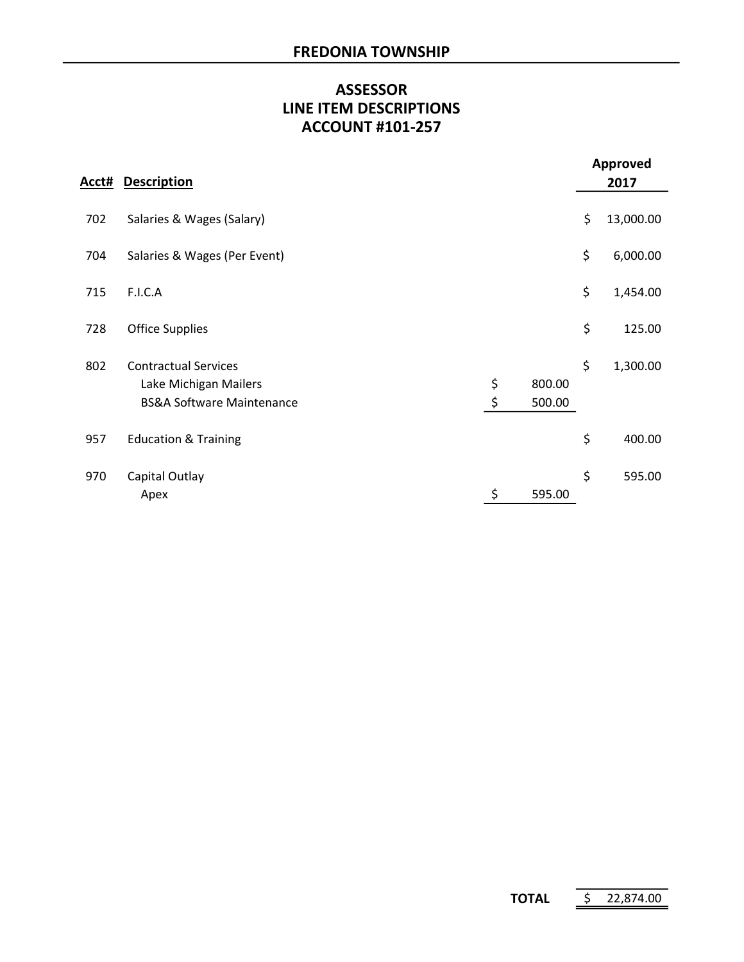# ASSESSOR ACCOUNT #101-257 LINE ITEM DESCRIPTIONS

|       |                                                                                              |          |                  |    | <b>Approved</b> |  |  |
|-------|----------------------------------------------------------------------------------------------|----------|------------------|----|-----------------|--|--|
| Acct# | <b>Description</b>                                                                           |          |                  |    | 2017            |  |  |
| 702   | Salaries & Wages (Salary)                                                                    |          |                  | \$ | 13,000.00       |  |  |
| 704   | Salaries & Wages (Per Event)                                                                 |          |                  | \$ | 6,000.00        |  |  |
| 715   | F.I.C.A                                                                                      |          |                  | \$ | 1,454.00        |  |  |
| 728   | <b>Office Supplies</b>                                                                       |          |                  | \$ | 125.00          |  |  |
| 802   | <b>Contractual Services</b><br>Lake Michigan Mailers<br><b>BS&amp;A Software Maintenance</b> | \$<br>\$ | 800.00<br>500.00 | \$ | 1,300.00        |  |  |
| 957   | <b>Education &amp; Training</b>                                                              |          |                  | \$ | 400.00          |  |  |
| 970   | Capital Outlay<br>Apex                                                                       | \$       | 595.00           | \$ | 595.00          |  |  |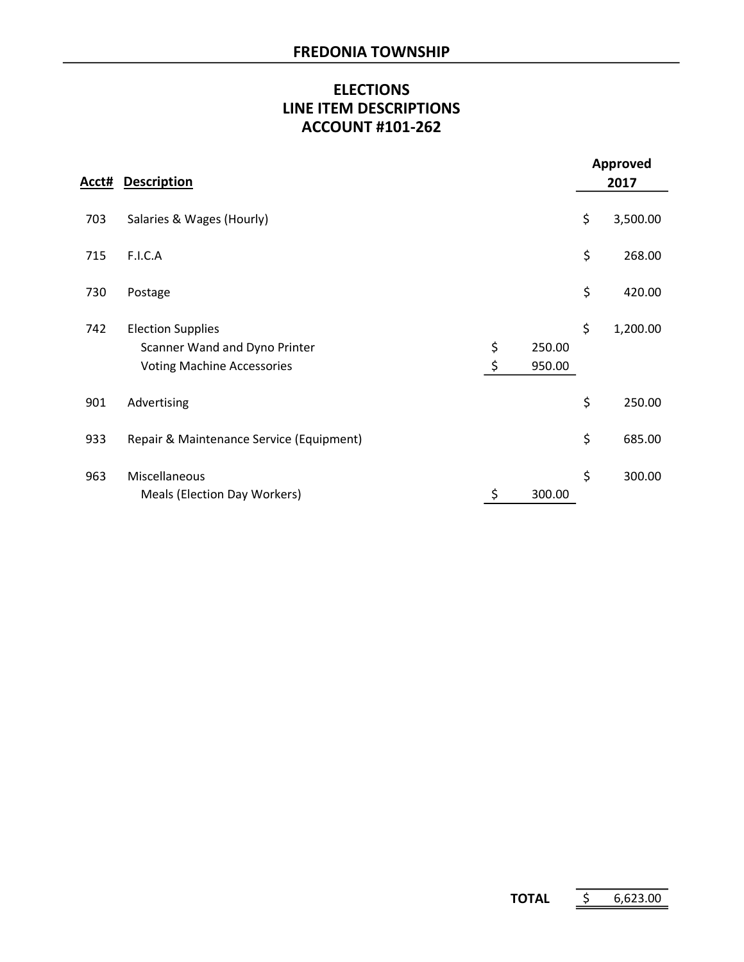# ELECTIONS LINE ITEM DESCRIPTIONS ACCOUNT #101-262

|       |                                                                                                |          |                  | <b>Approved</b> |
|-------|------------------------------------------------------------------------------------------------|----------|------------------|-----------------|
| Acct# | <b>Description</b>                                                                             |          |                  | 2017            |
| 703   | Salaries & Wages (Hourly)                                                                      |          |                  | \$<br>3,500.00  |
| 715   | F.I.C.A                                                                                        |          |                  | \$<br>268.00    |
| 730   | Postage                                                                                        |          |                  | \$<br>420.00    |
| 742   | <b>Election Supplies</b><br>Scanner Wand and Dyno Printer<br><b>Voting Machine Accessories</b> | \$<br>\$ | 250.00<br>950.00 | \$<br>1,200.00  |
| 901   | Advertising                                                                                    |          |                  | \$<br>250.00    |
| 933   | Repair & Maintenance Service (Equipment)                                                       |          |                  | \$<br>685.00    |
| 963   | Miscellaneous<br>Meals (Election Day Workers)                                                  | \$       | 300.00           | \$<br>300.00    |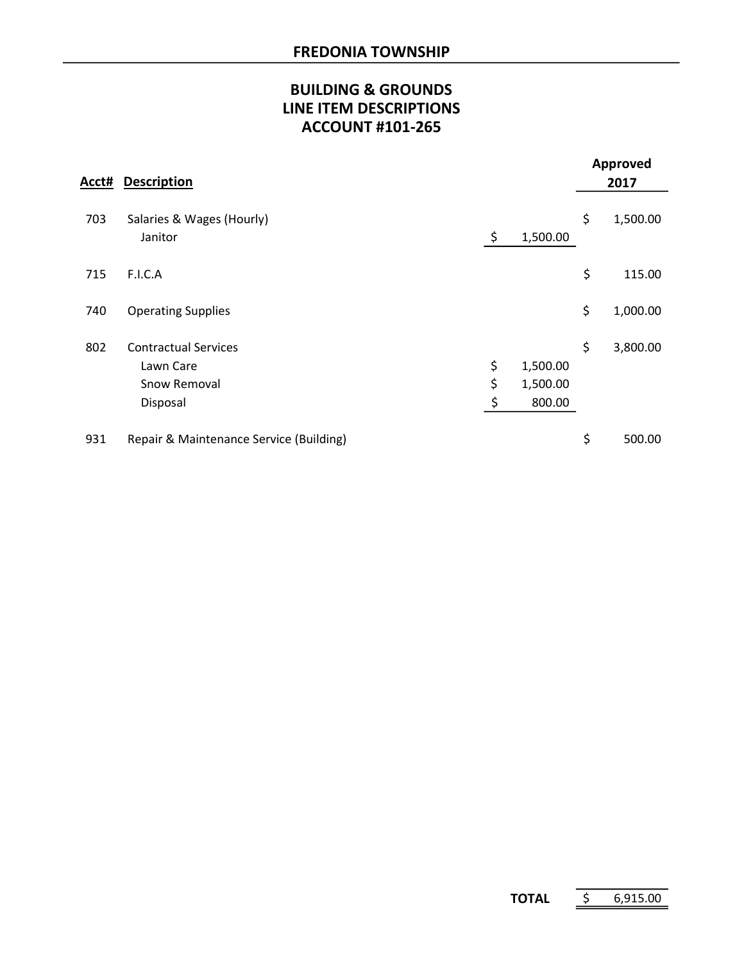# BUILDING & GROUNDS LINE ITEM DESCRIPTIONS ACCOUNT #101-265

| Acct# | <b>Description</b>                                                   |                |                                | Approved<br>2017 |
|-------|----------------------------------------------------------------------|----------------|--------------------------------|------------------|
| 703   | Salaries & Wages (Hourly)<br>Janitor                                 | \$             | 1,500.00                       | \$<br>1,500.00   |
| 715   | F.I.C.A                                                              |                |                                | \$<br>115.00     |
| 740   | <b>Operating Supplies</b>                                            |                |                                | \$<br>1,000.00   |
| 802   | <b>Contractual Services</b><br>Lawn Care<br>Snow Removal<br>Disposal | \$<br>\$<br>\$ | 1,500.00<br>1,500.00<br>800.00 | \$<br>3,800.00   |
| 931   | Repair & Maintenance Service (Building)                              |                |                                | \$<br>500.00     |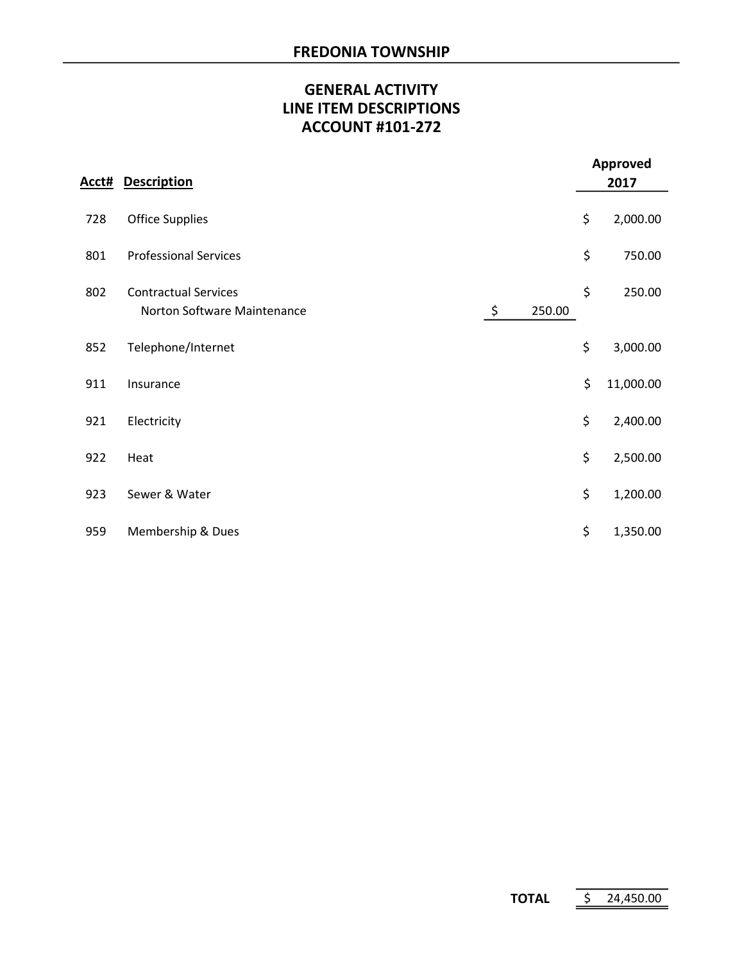# GENERAL ACTIVITY LINE ITEM DESCRIPTIONS ACCOUNT #101-272

|       |                                                            |    |        | <b>Approved</b> |           |  |
|-------|------------------------------------------------------------|----|--------|-----------------|-----------|--|
| Acct# | <b>Description</b>                                         |    |        |                 | 2017      |  |
| 728   | <b>Office Supplies</b>                                     |    |        | \$              | 2,000.00  |  |
| 801   | <b>Professional Services</b>                               |    |        | \$              | 750.00    |  |
| 802   | <b>Contractual Services</b><br>Norton Software Maintenance | \$ | 250.00 | \$              | 250.00    |  |
| 852   | Telephone/Internet                                         |    |        | \$              | 3,000.00  |  |
| 911   | Insurance                                                  |    |        | \$              | 11,000.00 |  |
| 921   | Electricity                                                |    |        | \$              | 2,400.00  |  |
| 922   | Heat                                                       |    |        | \$              | 2,500.00  |  |
| 923   | Sewer & Water                                              |    |        | \$              | 1,200.00  |  |
| 959   | Membership & Dues                                          |    |        | \$              | 1,350.00  |  |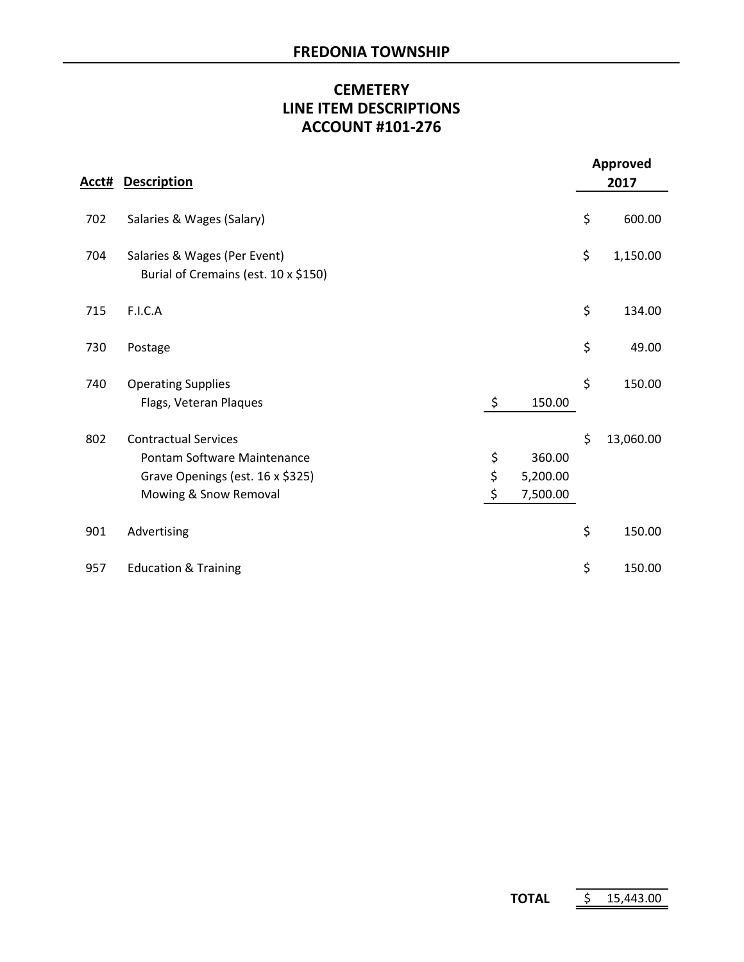# **CEMETERY** LINE ITEM DESCRIPTIONS ACCOUNT #101-276

|     |                                                                                                                         |                |                                | <b>Approved</b> |
|-----|-------------------------------------------------------------------------------------------------------------------------|----------------|--------------------------------|-----------------|
|     | <b>Acct# Description</b>                                                                                                |                |                                | 2017            |
| 702 | Salaries & Wages (Salary)                                                                                               |                |                                | \$<br>600.00    |
| 704 | Salaries & Wages (Per Event)<br>Burial of Cremains (est. 10 x \$150)                                                    |                |                                | \$<br>1,150.00  |
| 715 | F.I.C.A                                                                                                                 |                |                                | \$<br>134.00    |
| 730 | Postage                                                                                                                 |                |                                | \$<br>49.00     |
| 740 | <b>Operating Supplies</b><br>Flags, Veteran Plaques                                                                     | \$             | 150.00                         | \$<br>150.00    |
| 802 | <b>Contractual Services</b><br>Pontam Software Maintenance<br>Grave Openings (est. 16 x \$325)<br>Mowing & Snow Removal | \$<br>\$<br>\$ | 360.00<br>5,200.00<br>7,500.00 | \$<br>13,060.00 |
| 901 | Advertising                                                                                                             |                |                                | \$<br>150.00    |
| 957 | <b>Education &amp; Training</b>                                                                                         |                |                                | \$<br>150.00    |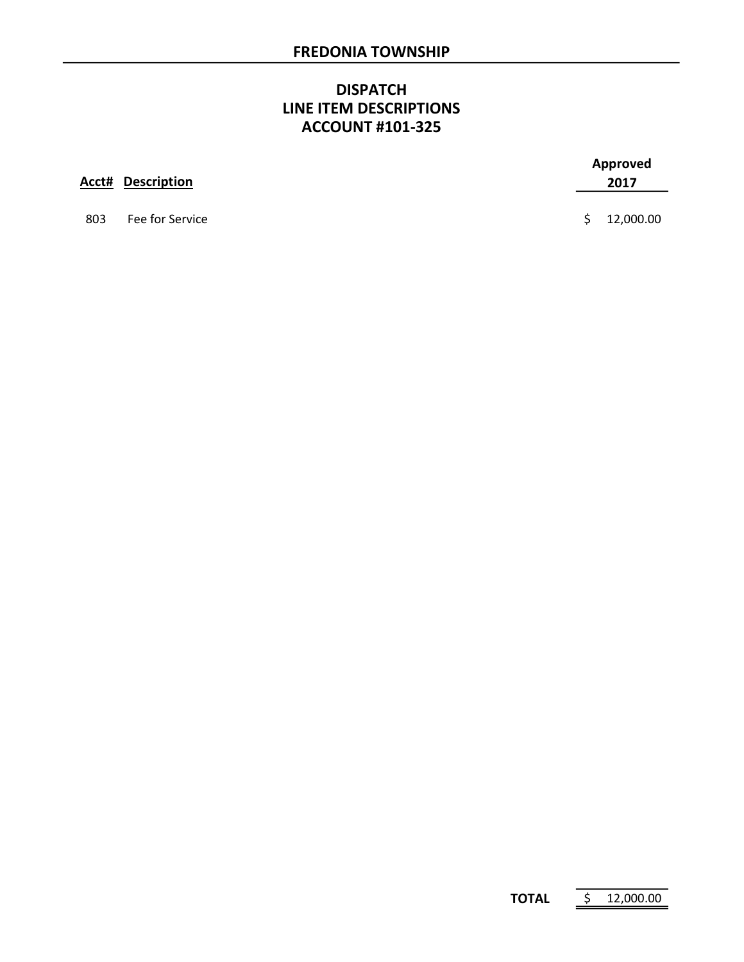#### **DISPATCH** LINE ITEM DESCRIPTIONS ACCOUNT #101-325

|     | <b>Acct# Description</b> |    | Approved<br>2017 |
|-----|--------------------------|----|------------------|
| 803 | Fee for Service          | S. | 12,000.00        |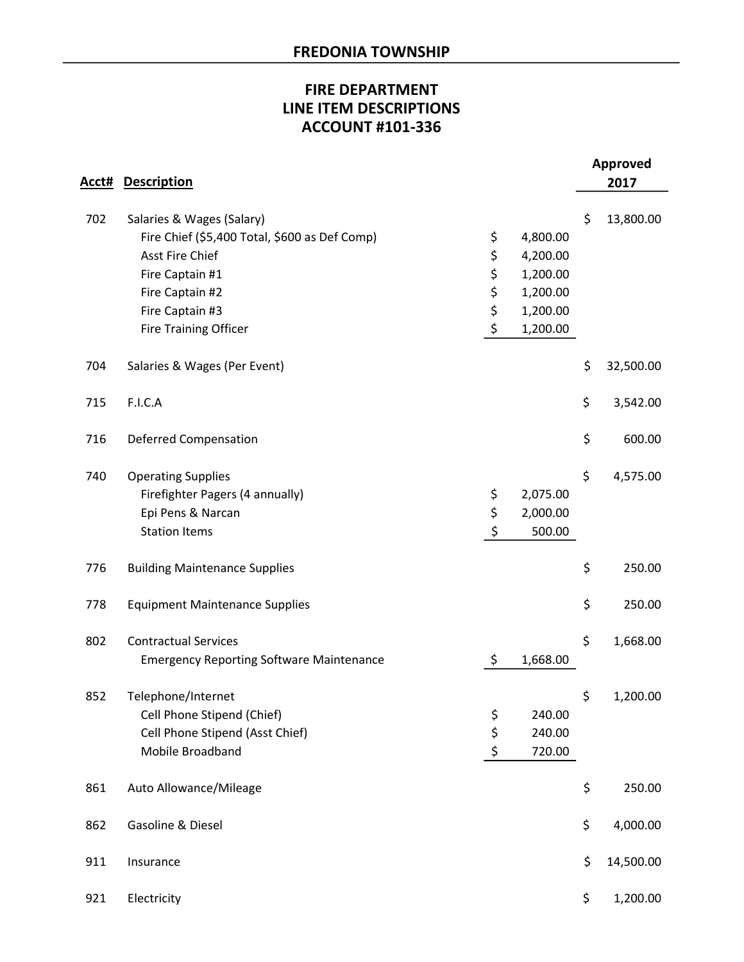# FIRE DEPARTMENT LINE ITEM DESCRIPTIONS ACCOUNT #101-336

| Acct# | <b>Description</b>                              |                | <b>Approved</b><br>2017 |
|-------|-------------------------------------------------|----------------|-------------------------|
| 702   | Salaries & Wages (Salary)                       |                | \$<br>13,800.00         |
|       | Fire Chief (\$5,400 Total, \$600 as Def Comp)   | \$<br>4,800.00 |                         |
|       | <b>Asst Fire Chief</b>                          | \$<br>4,200.00 |                         |
|       | Fire Captain #1                                 | \$<br>1,200.00 |                         |
|       | Fire Captain #2                                 | \$<br>1,200.00 |                         |
|       | Fire Captain #3                                 | \$<br>1,200.00 |                         |
|       | Fire Training Officer                           | \$<br>1,200.00 |                         |
| 704   | Salaries & Wages (Per Event)                    |                | \$<br>32,500.00         |
| 715   | F.I.C.A                                         |                | \$<br>3,542.00          |
| 716   | <b>Deferred Compensation</b>                    |                | \$<br>600.00            |
| 740   | <b>Operating Supplies</b>                       |                | \$<br>4,575.00          |
|       | Firefighter Pagers (4 annually)                 | \$<br>2,075.00 |                         |
|       | Epi Pens & Narcan                               | \$<br>2,000.00 |                         |
|       | <b>Station Items</b>                            | \$<br>500.00   |                         |
| 776   | <b>Building Maintenance Supplies</b>            |                | \$<br>250.00            |
| 778   | <b>Equipment Maintenance Supplies</b>           |                | \$<br>250.00            |
| 802   | <b>Contractual Services</b>                     |                | \$<br>1,668.00          |
|       | <b>Emergency Reporting Software Maintenance</b> | \$<br>1,668.00 |                         |
| 852   | Telephone/Internet                              |                | \$<br>1,200.00          |
|       | Cell Phone Stipend (Chief)                      | \$<br>240.00   |                         |
|       | Cell Phone Stipend (Asst Chief)                 | \$<br>240.00   |                         |
|       | Mobile Broadband                                | \$<br>720.00   |                         |
| 861   | Auto Allowance/Mileage                          |                | \$<br>250.00            |
| 862   | Gasoline & Diesel                               |                | \$<br>4,000.00          |
| 911   | Insurance                                       |                | \$<br>14,500.00         |
| 921   | Electricity                                     |                | \$<br>1,200.00          |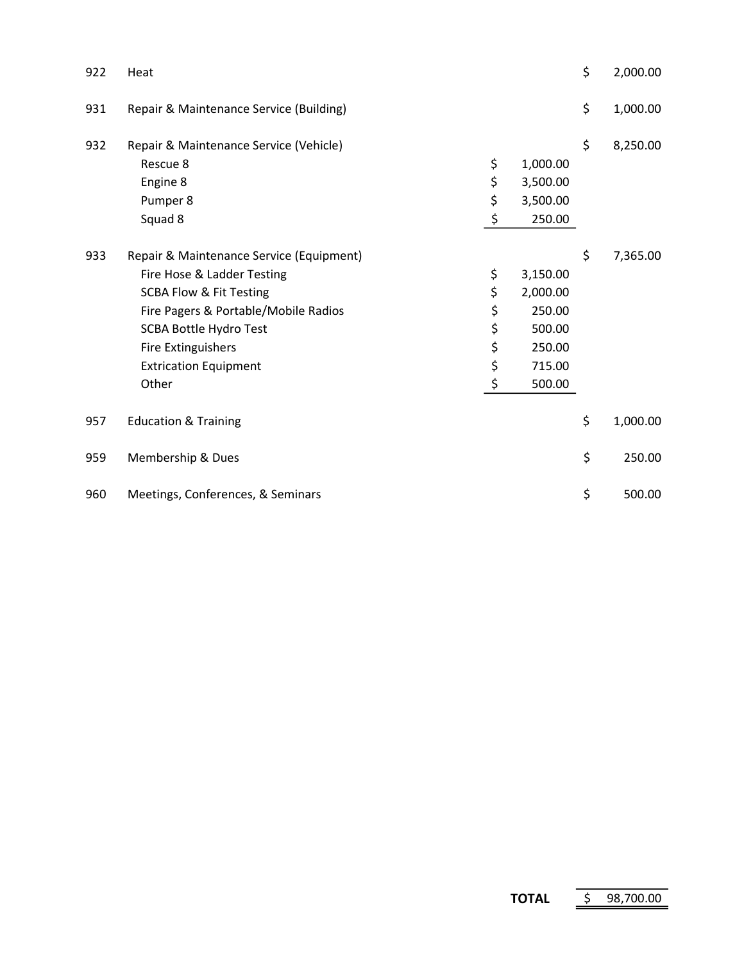| 922 | Heat                                                                                                                                                                                                                                                        |                                        |                                                                        | \$<br>2,000.00 |
|-----|-------------------------------------------------------------------------------------------------------------------------------------------------------------------------------------------------------------------------------------------------------------|----------------------------------------|------------------------------------------------------------------------|----------------|
| 931 | Repair & Maintenance Service (Building)                                                                                                                                                                                                                     |                                        |                                                                        | \$<br>1,000.00 |
| 932 | Repair & Maintenance Service (Vehicle)<br>Rescue 8<br>Engine 8<br>Pumper 8<br>Squad 8                                                                                                                                                                       | \$<br>\$<br>\$<br>\$                   | 1,000.00<br>3,500.00<br>3,500.00<br>250.00                             | \$<br>8,250.00 |
| 933 | Repair & Maintenance Service (Equipment)<br>Fire Hose & Ladder Testing<br><b>SCBA Flow &amp; Fit Testing</b><br>Fire Pagers & Portable/Mobile Radios<br><b>SCBA Bottle Hydro Test</b><br><b>Fire Extinguishers</b><br><b>Extrication Equipment</b><br>Other | \$<br>\$<br>\$<br>\$<br>\$<br>\$<br>\$ | 3,150.00<br>2,000.00<br>250.00<br>500.00<br>250.00<br>715.00<br>500.00 | \$<br>7,365.00 |
| 957 | <b>Education &amp; Training</b>                                                                                                                                                                                                                             |                                        |                                                                        | \$<br>1,000.00 |
| 959 | Membership & Dues                                                                                                                                                                                                                                           |                                        |                                                                        | \$<br>250.00   |
| 960 | Meetings, Conferences, & Seminars                                                                                                                                                                                                                           |                                        |                                                                        | \$<br>500.00   |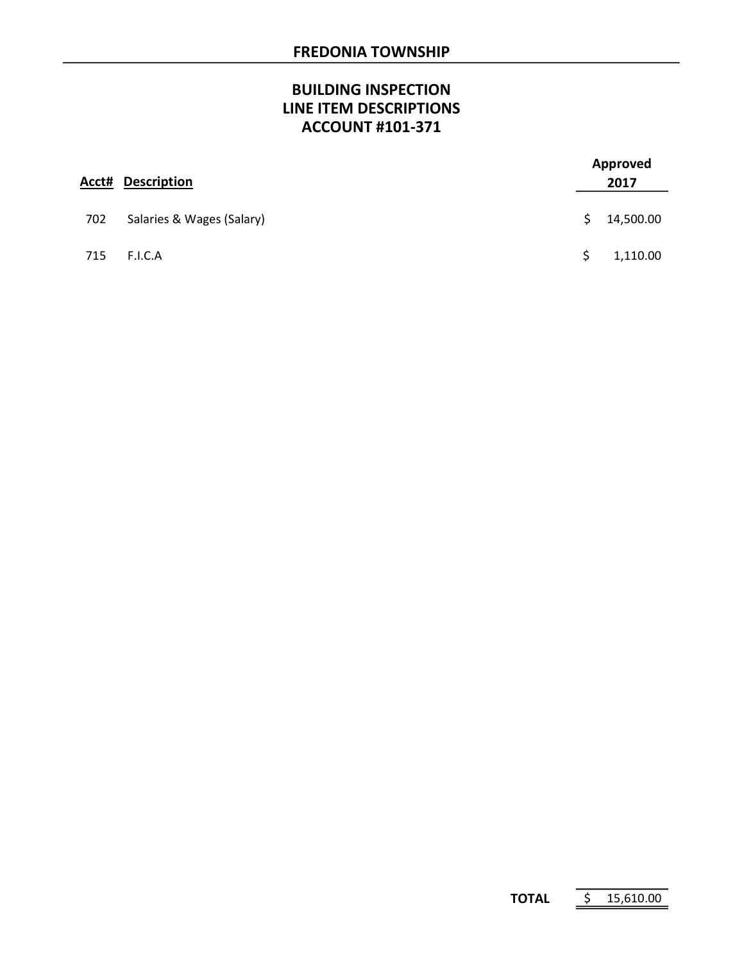# BUILDING INSPECTION LINE ITEM DESCRIPTIONS ACCOUNT #101-371

| Acct# | <b>Description</b>        |    | Approved<br>2017 |  |
|-------|---------------------------|----|------------------|--|
| 702   | Salaries & Wages (Salary) | S. | 14,500.00        |  |
| 715   | F.I.C.A                   |    | 1,110.00         |  |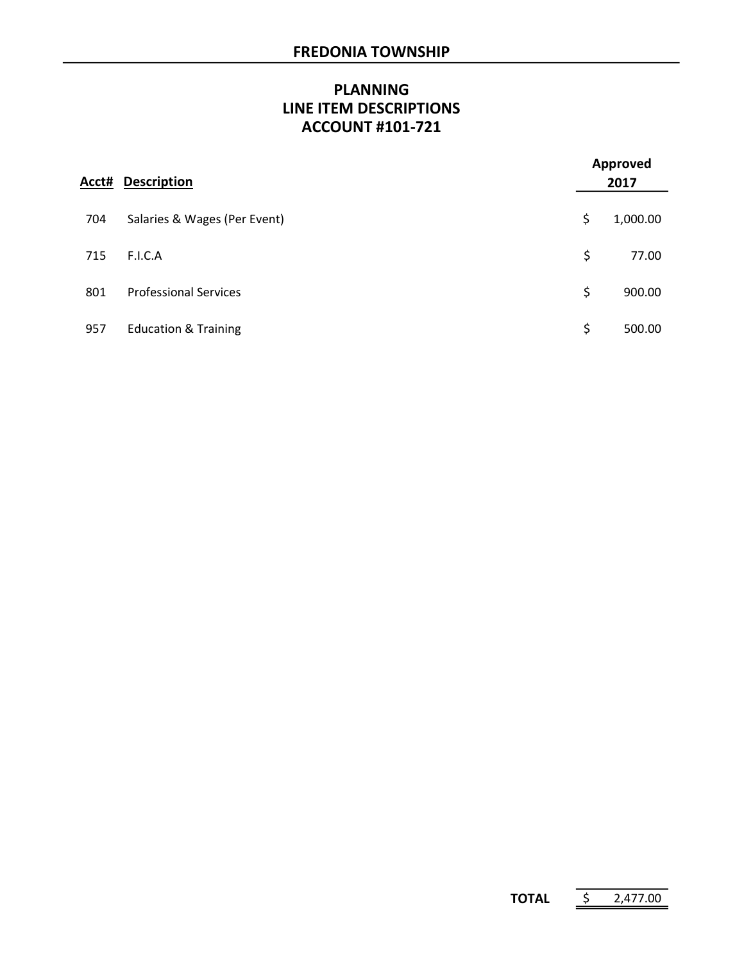# PLANNING LINE ITEM DESCRIPTIONS ACCOUNT #101-721

| Acct# | <b>Description</b>              | <b>Approved</b><br>2017 |          |
|-------|---------------------------------|-------------------------|----------|
| 704   | Salaries & Wages (Per Event)    | \$                      | 1,000.00 |
| 715   | F.I.C.A                         | \$                      | 77.00    |
| 801   | <b>Professional Services</b>    | \$                      | 900.00   |
| 957   | <b>Education &amp; Training</b> | \$                      | 500.00   |